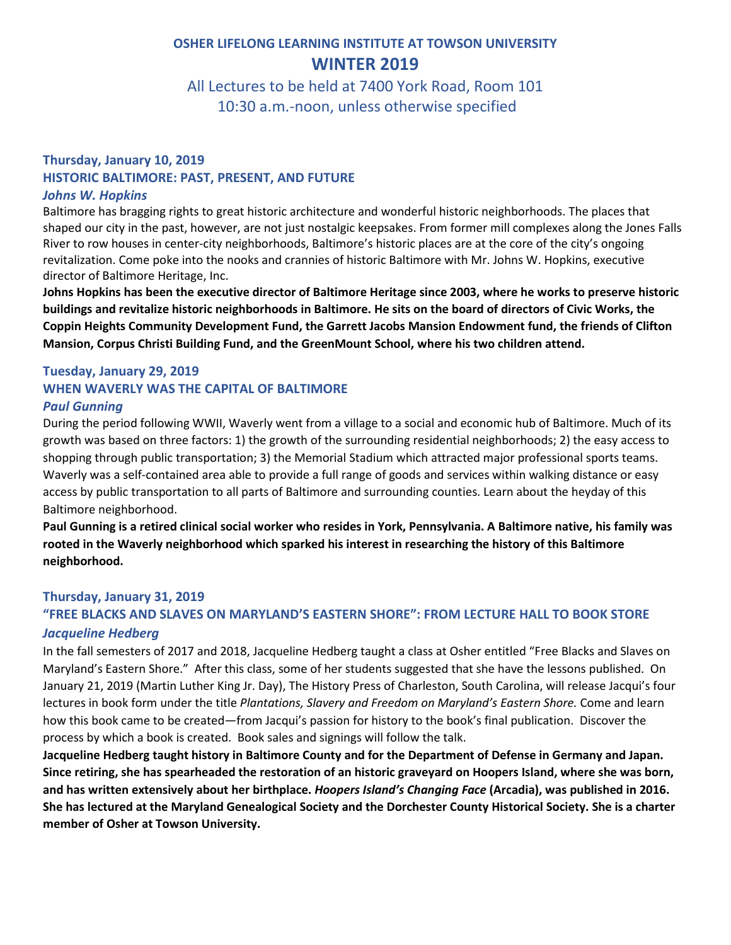# **OSHER LIFELONG LEARNING INSTITUTE AT TOWSON UNIVERSITY WINTER 2019**

All Lectures to be held at 7400 York Road, Room 101 10:30 a.m.-noon, unless otherwise specified

### **Thursday, January 10, 2019 HISTORIC BALTIMORE: PAST, PRESENT, AND FUTURE** *Johns W. Hopkins*

Baltimore has bragging rights to great historic architecture and wonderful historic neighborhoods. The places that shaped our city in the past, however, are not just nostalgic keepsakes. From former mill complexes along the Jones Falls River to row houses in center-city neighborhoods, Baltimore's historic places are at the core of the city's ongoing revitalization. Come poke into the nooks and crannies of historic Baltimore with Mr. Johns W. Hopkins, executive director of Baltimore Heritage, Inc.

**Johns Hopkins has been the executive director of Baltimore Heritage since 2003, where he works to preserve historic buildings and revitalize historic neighborhoods in Baltimore. He sits on the board of directors of Civic Works, the Coppin Heights Community Development Fund, the Garrett Jacobs Mansion Endowment fund, the friends of Clifton Mansion, Corpus Christi Building Fund, and the GreenMount School, where his two children attend.**

#### **Tuesday, January 29, 2019 WHEN WAVERLY WAS THE CAPITAL OF BALTIMORE** *Paul Gunning*

During the period following WWII, Waverly went from a village to a social and economic hub of Baltimore. Much of its growth was based on three factors: 1) the growth of the surrounding residential neighborhoods; 2) the easy access to shopping through public transportation; 3) the Memorial Stadium which attracted major professional sports teams. Waverly was a self-contained area able to provide a full range of goods and services within walking distance or easy access by public transportation to all parts of Baltimore and surrounding counties. Learn about the heyday of this Baltimore neighborhood.

**Paul Gunning is a retired clinical social worker who resides in York, Pennsylvania. A Baltimore native, his family was rooted in the Waverly neighborhood which sparked his interest in researching the history of this Baltimore neighborhood.** 

### **Thursday, January 31, 2019**

## **"FREE BLACKS AND SLAVES ON MARYLAND'S EASTERN SHORE": FROM LECTURE HALL TO BOOK STORE** *Jacqueline Hedberg*

In the fall semesters of 2017 and 2018, Jacqueline Hedberg taught a class at Osher entitled "Free Blacks and Slaves on Maryland's Eastern Shore." After this class, some of her students suggested that she have the lessons published. On January 21, 2019 (Martin Luther King Jr. Day), The History Press of Charleston, South Carolina, will release Jacqui's four lectures in book form under the title *Plantations, Slavery and Freedom on Maryland's Eastern Shore.* Come and learn how this book came to be created—from Jacqui's passion for history to the book's final publication. Discover the process by which a book is created. Book sales and signings will follow the talk.

**Jacqueline Hedberg taught history in Baltimore County and for the Department of Defense in Germany and Japan. Since retiring, she has spearheaded the restoration of an historic graveyard on Hoopers Island, where she was born, and has written extensively about her birthplace.** *Hoopers Island's Changing Face* **(Arcadia), was published in 2016. She has lectured at the Maryland Genealogical Society and the Dorchester County Historical Society. She is a charter member of Osher at Towson University.**